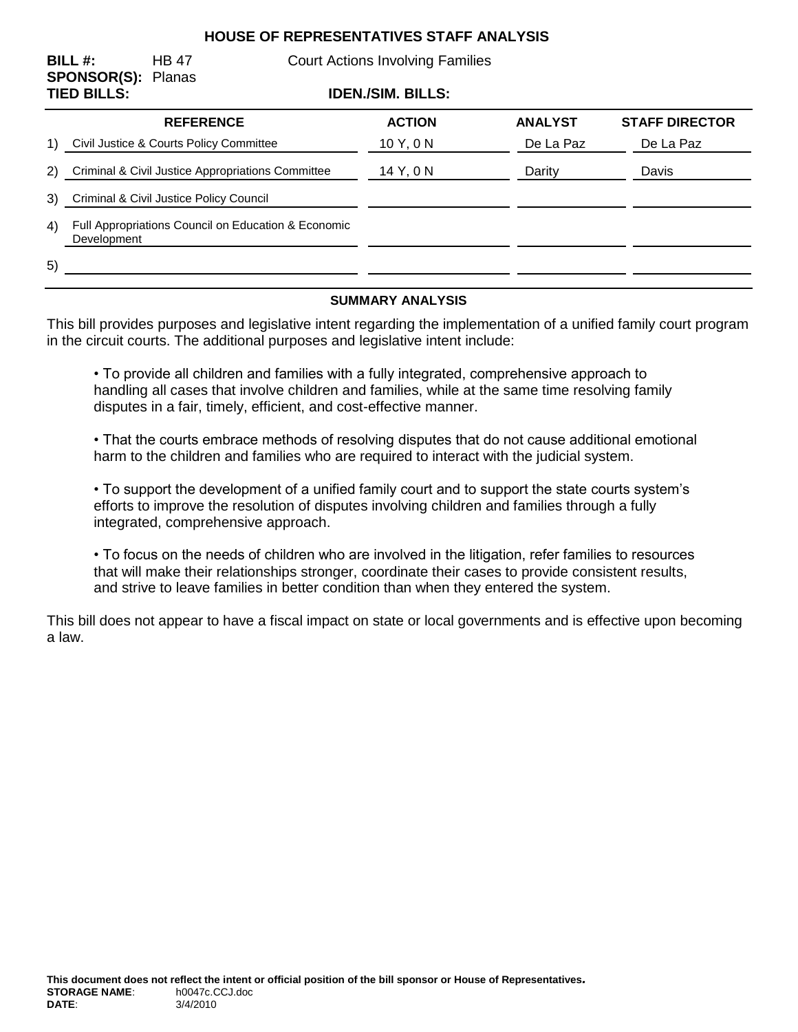### **HOUSE OF REPRESENTATIVES STAFF ANALYSIS**

| BILL $#$ :<br><b>SPONSOR(S): Planas</b><br><b>TIED BILLS:</b> |                                                                    | <b>HB 47</b>     | <b>Court Actions Involving Families</b> |                          |                |                       |
|---------------------------------------------------------------|--------------------------------------------------------------------|------------------|-----------------------------------------|--------------------------|----------------|-----------------------|
|                                                               |                                                                    |                  |                                         | <b>IDEN./SIM. BILLS:</b> |                |                       |
|                                                               |                                                                    | <b>REFERENCE</b> |                                         | <b>ACTION</b>            | <b>ANALYST</b> | <b>STAFF DIRECTOR</b> |
| 1)                                                            | Civil Justice & Courts Policy Committee                            |                  |                                         | 10Y, 0N                  | De La Paz      | De La Paz             |
| 2)                                                            | Criminal & Civil Justice Appropriations Committee                  |                  |                                         | 14 Y, 0 N                | Darity         | Davis                 |
| 3)                                                            | Criminal & Civil Justice Policy Council                            |                  |                                         |                          |                |                       |
| 4)                                                            | Full Appropriations Council on Education & Economic<br>Development |                  |                                         |                          |                |                       |
| 5)                                                            |                                                                    |                  |                                         |                          |                |                       |

#### **SUMMARY ANALYSIS**

This bill provides purposes and legislative intent regarding the implementation of a unified family court program in the circuit courts. The additional purposes and legislative intent include:

• To provide all children and families with a fully integrated, comprehensive approach to handling all cases that involve children and families, while at the same time resolving family disputes in a fair, timely, efficient, and cost-effective manner.

• That the courts embrace methods of resolving disputes that do not cause additional emotional harm to the children and families who are required to interact with the judicial system.

• To support the development of a unified family court and to support the state courts system's efforts to improve the resolution of disputes involving children and families through a fully integrated, comprehensive approach.

• To focus on the needs of children who are involved in the litigation, refer families to resources that will make their relationships stronger, coordinate their cases to provide consistent results, and strive to leave families in better condition than when they entered the system.

This bill does not appear to have a fiscal impact on state or local governments and is effective upon becoming a law.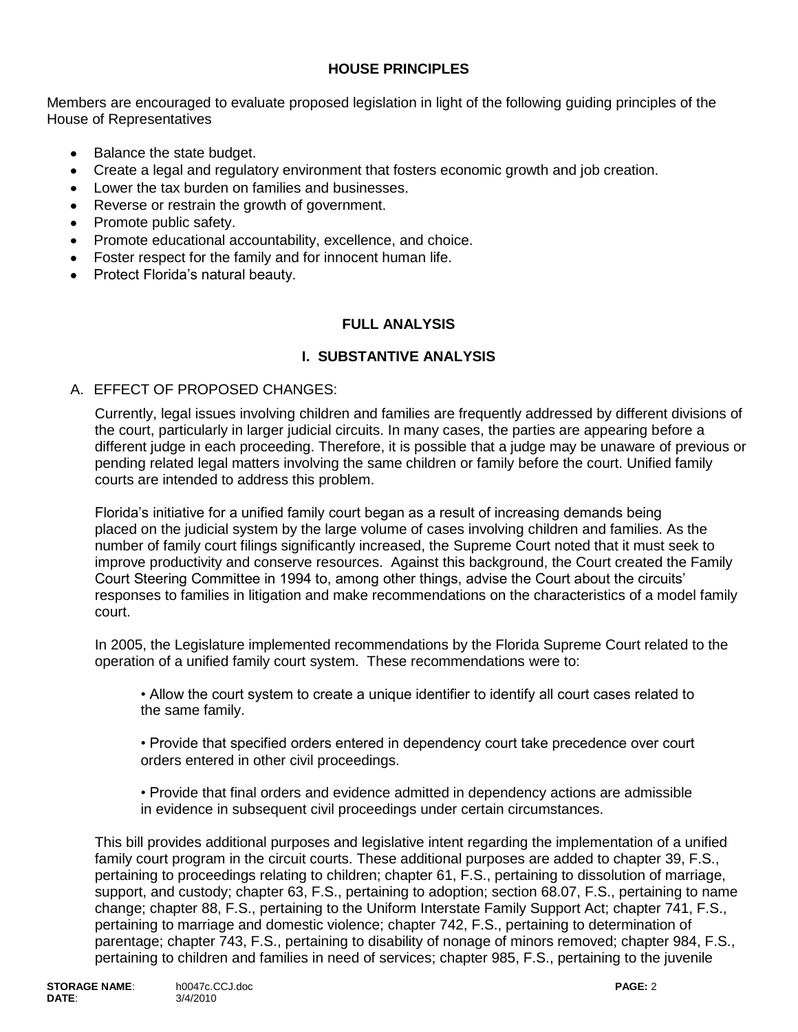## **HOUSE PRINCIPLES**

Members are encouraged to evaluate proposed legislation in light of the following guiding principles of the House of Representatives

- Balance the state budget.
- Create a legal and regulatory environment that fosters economic growth and job creation.  $\bullet$
- Lower the tax burden on families and businesses.
- Reverse or restrain the growth of government.
- Promote public safety.
- Promote educational accountability, excellence, and choice.
- Foster respect for the family and for innocent human life.
- Protect Florida's natural beauty.

#### **FULL ANALYSIS**

#### **I. SUBSTANTIVE ANALYSIS**

#### A. EFFECT OF PROPOSED CHANGES:

Currently, legal issues involving children and families are frequently addressed by different divisions of the court, particularly in larger judicial circuits. In many cases, the parties are appearing before a different judge in each proceeding. Therefore, it is possible that a judge may be unaware of previous or pending related legal matters involving the same children or family before the court. Unified family courts are intended to address this problem.

Florida's initiative for a unified family court began as a result of increasing demands being placed on the judicial system by the large volume of cases involving children and families. As the number of family court filings significantly increased, the Supreme Court noted that it must seek to improve productivity and conserve resources. Against this background, the Court created the Family Court Steering Committee in 1994 to, among other things, advise the Court about the circuits' responses to families in litigation and make recommendations on the characteristics of a model family court.

In 2005, the Legislature implemented recommendations by the Florida Supreme Court related to the operation of a unified family court system. These recommendations were to:

• Allow the court system to create a unique identifier to identify all court cases related to the same family.

• Provide that specified orders entered in dependency court take precedence over court orders entered in other civil proceedings.

• Provide that final orders and evidence admitted in dependency actions are admissible in evidence in subsequent civil proceedings under certain circumstances.

This bill provides additional purposes and legislative intent regarding the implementation of a unified family court program in the circuit courts. These additional purposes are added to chapter 39, F.S., pertaining to proceedings relating to children; chapter 61, F.S., pertaining to dissolution of marriage, support, and custody; chapter 63, F.S., pertaining to adoption; section 68.07, F.S., pertaining to name change; chapter 88, F.S., pertaining to the Uniform Interstate Family Support Act; chapter 741, F.S., pertaining to marriage and domestic violence; chapter 742, F.S., pertaining to determination of parentage; chapter 743, F.S., pertaining to disability of nonage of minors removed; chapter 984, F.S., pertaining to children and families in need of services; chapter 985, F.S., pertaining to the juvenile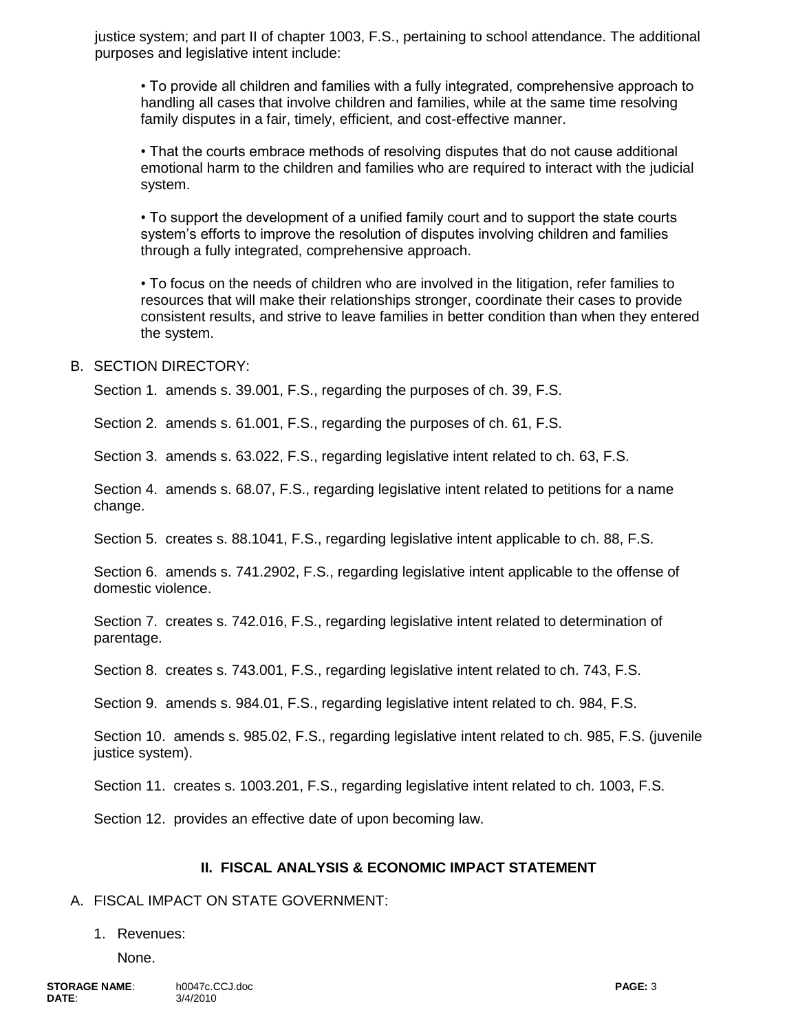justice system; and part II of chapter 1003, F.S., pertaining to school attendance. The additional purposes and legislative intent include:

• To provide all children and families with a fully integrated, comprehensive approach to handling all cases that involve children and families, while at the same time resolving family disputes in a fair, timely, efficient, and cost-effective manner.

• That the courts embrace methods of resolving disputes that do not cause additional emotional harm to the children and families who are required to interact with the judicial system.

• To support the development of a unified family court and to support the state courts system's efforts to improve the resolution of disputes involving children and families through a fully integrated, comprehensive approach.

• To focus on the needs of children who are involved in the litigation, refer families to resources that will make their relationships stronger, coordinate their cases to provide consistent results, and strive to leave families in better condition than when they entered the system.

#### B. SECTION DIRECTORY:

Section 1. amends s. 39.001, F.S., regarding the purposes of ch. 39, F.S.

Section 2. amends s. 61.001, F.S., regarding the purposes of ch. 61, F.S.

Section 3. amends s. 63.022, F.S., regarding legislative intent related to ch. 63, F.S.

Section 4. amends s. 68.07, F.S., regarding legislative intent related to petitions for a name change.

Section 5. creates s. 88.1041, F.S., regarding legislative intent applicable to ch. 88, F.S.

Section 6. amends s. 741.2902, F.S., regarding legislative intent applicable to the offense of domestic violence.

Section 7. creates s. 742.016, F.S., regarding legislative intent related to determination of parentage.

Section 8. creates s. 743.001, F.S., regarding legislative intent related to ch. 743, F.S.

Section 9. amends s. 984.01, F.S., regarding legislative intent related to ch. 984, F.S.

Section 10. amends s. 985.02, F.S., regarding legislative intent related to ch. 985, F.S. (juvenile justice system).

Section 11. creates s. 1003.201, F.S., regarding legislative intent related to ch. 1003, F.S.

Section 12. provides an effective date of upon becoming law.

#### **II. FISCAL ANALYSIS & ECONOMIC IMPACT STATEMENT**

#### A. FISCAL IMPACT ON STATE GOVERNMENT:

#### 1. Revenues:

None.